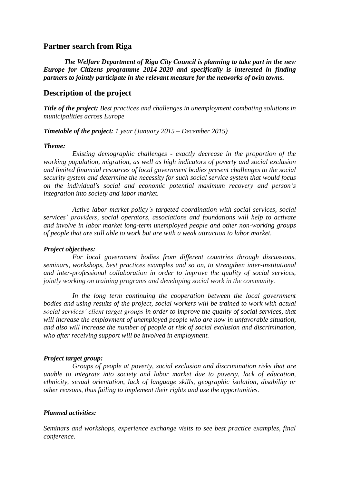## **Partner search from Riga**

*The Welfare Department of Riga City Council is planning to take part in the new Europe for Citizens programme 2014-2020 and specifically is interested in finding partners to jointly participate in the relevant measure for the networks of twin towns.* 

## **Description of the project**

*Title of the project: Best practices and challenges in unemployment combating solutions in municipalities across Europe*

*Timetable of the project: 1 year (January 2015 – December 2015)*

#### *Theme:*

*Existing demographic challenges - exactly decrease in the proportion of the working population, migration, as well as high indicators of poverty and social exclusion and limited financial resources of local government bodies present challenges to the social security system and determine the necessity for such social service system that would focus on the individual's social and economic potential maximum recovery and person's integration into society and labor market.*

*Active labor market policy's targeted coordination with social services, social services' providers, social operators, associations and foundations will help to activate and involve in labor market long-term unemployed people and other non-working groups of people that are still able to work but are with a weak attraction to labor market.*

#### *Project objectives:*

*For local government bodies from different countries through discussions, seminars, workshops, best practices examples and so on, to strengthen inter-institutional and inter-professional collaboration in order to improve the quality of social services, jointly working on training programs and developing social work in the community.*

*In the long term continuing the cooperation between the local government bodies and using results of the project, social workers will be trained to work with actual social services' client target groups in order to improve the quality of social services, that will increase the employment of unemployed people who are now in unfavorable situation, and also will increase the number of people at risk of social exclusion and discrimination, who after receiving support will be involved in employment.*

#### *Project target group:*

*Groups of people at poverty, social exclusion and discrimination risks that are unable to integrate into society and labor market due to poverty, lack of education, ethnicity, sexual orientation, lack of language skills, geographic isolation, disability or other reasons, thus failing to implement their rights and use the opportunities.*

#### *Planned activities:*

*Seminars and workshops, experience exchange visits to see best practice examples, final conference.*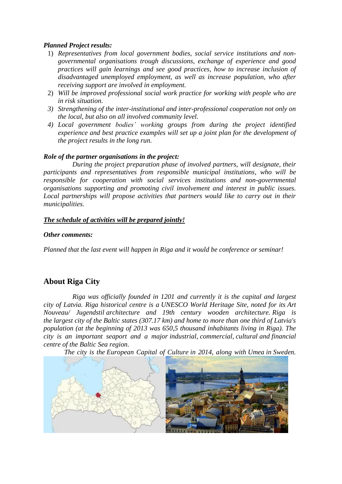## *Planned Project results:*

- 1) *Representatives from local government bodies, social service institutions and nongovernmental organisations trough discussions, exchange of experience and good practices will gain learnings and see good practices, how to increase inclusion of disadvantaged unemployed employment, as well as increase population, who after receiving support are involved in employment.*
- 2) *Will be improved professional social work practice for working with people who are in risk situation.*
- *3) Strengthening of the inter-institutional and inter-professional cooperation not only on the local, but also on all involved community level.*
- *4) Local government bodies' working groups from during the project identified experience and best practice examples will set up a joint plan for the development of the project results in the long run.*

### *Role of the partner organisations in the project:*

*During the project preparation phase of involved partners, will designate, their participants and representatives from responsible municipal institutions, who will be responsible for cooperation with social services institutions and non-governmental organisations supporting and promoting civil involvement and interest in public issues. Local partnerships will propose activities that partners would like to carry out in their municipalities.*

### *The schedule of activities will be prepared jointly!*

#### *Other comments:*

*Planned that the last event will happen in Riga and it would be conference or seminar!*

## **About Riga City**

*Riga was officially founded in 1201 and currently it is the capital and largest city of Latvia. Riga historical centre is a [UNESCO World Heritage Site,](http://en.wikipedia.org/wiki/UNESCO_World_Heritage_Site) noted for its [Art](http://en.wikipedia.org/wiki/Art_Nouveau)  Nouveau/ [Jugendstil](http://en.wikipedia.org/wiki/Art_Nouveau) architecture and 19th century wooden architecture. Riga is the [largest city](http://en.wikipedia.org/wiki/Baltic_states#Statistics) of the [Baltic states](http://en.wikipedia.org/wiki/Baltic_states) (307.17 km) and home to more than one third of Latvia's population (at the beginning of 2013 was 650,5 thousand inhabitants living in Riga). The city is an important seaport and a major [industrial,](http://en.wikipedia.org/wiki/Industry) [commercial,](http://en.wikipedia.org/wiki/Commerce) [cultural](http://en.wikipedia.org/wiki/Culture) and [financial](http://en.wikipedia.org/wiki/Financial_centre)  [centre](http://en.wikipedia.org/wiki/Financial_centre) of the [Baltic Sea region.](http://en.wikipedia.org/wiki/Baltic_region)* 

*The city is the [European Capital of Culture](http://en.wikipedia.org/wiki/European_Capital_of_Culture) in 2014, along with [Umea](http://en.wikipedia.org/wiki/Ume%C3%A5) in [Sweden.](http://en.wikipedia.org/wiki/Sweden)*